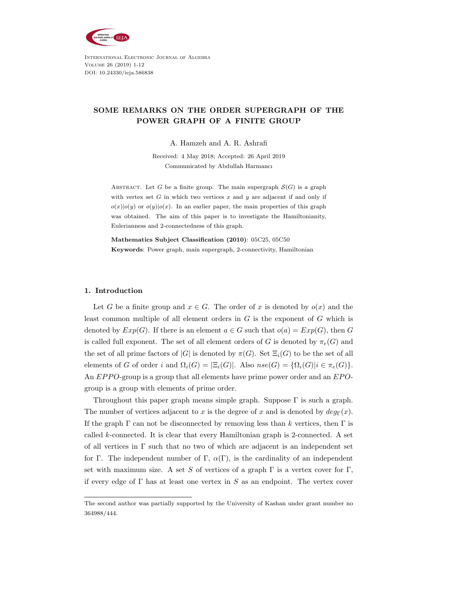

International Electronic Journal of Algebra Volume 26 (2019) 1-12 DOI: 10.24330/ieja.586838

# SOME REMARKS ON THE ORDER SUPERGRAPH OF THE POWER GRAPH OF A FINITE GROUP

A. Hamzeh and A. R. Ashrafi

Received: 4 May 2018; Accepted: 26 April 2019 Communicated by Abdullah Harmancı

ABSTRACT. Let G be a finite group. The main supergraph  $\mathcal{S}(G)$  is a graph with vertex set  $G$  in which two vertices  $x$  and  $y$  are adjacent if and only if  $o(x)|o(y)$  or  $o(y)|o(x)$ . In an earlier paper, the main properties of this graph was obtained. The aim of this paper is to investigate the Hamiltonianity, Eulerianness and 2-connectedness of this graph.

Mathematics Subject Classification (2010): 05C25, 05C50 Keywords: Power graph, main supergraph, 2-connectivity, Hamiltonian

## 1. Introduction

Let G be a finite group and  $x \in G$ . The order of x is denoted by  $o(x)$  and the least common multiple of all element orders in  $G$  is the exponent of  $G$  which is denoted by  $Exp(G)$ . If there is an element  $a \in G$  such that  $o(a) = Exp(G)$ , then G is called full exponent. The set of all element orders of G is denoted by  $\pi_e(G)$  and the set of all prime factors of |G| is denoted by  $\pi(G)$ . Set  $\Xi_i(G)$  to be the set of all elements of G of order i and  $\Omega_i(G) = \left| \Xi_i(G) \right|$ . Also  $nse(G) = \{ \Omega_i(G) | i \in \pi_e(G) \}$ . An  $EPPO$ -group is a group that all elements have prime power order and an  $EPO$ group is a group with elements of prime order.

Throughout this paper graph means simple graph. Suppose  $\Gamma$  is such a graph. The number of vertices adjacent to x is the degree of x and is denoted by  $deg_{\Gamma}(x)$ . If the graph  $\Gamma$  can not be disconnected by removing less than k vertices, then  $\Gamma$  is called  $k$ -connected. It is clear that every Hamiltonian graph is 2-connected. A set of all vertices in  $\Gamma$  such that no two of which are adjacent is an independent set for Γ. The independent number of Γ,  $\alpha(\Gamma)$ , is the cardinality of an independent set with maximum size. A set S of vertices of a graph  $\Gamma$  is a vertex cover for  $\Gamma$ , if every edge of  $\Gamma$  has at least one vertex in S as an endpoint. The vertex cover

The second author was partially supported by the University of Kashan under grant number no 364988/444.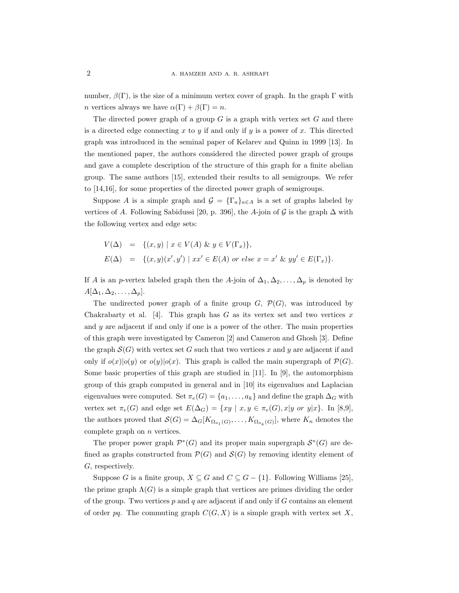number,  $\beta(\Gamma)$ , is the size of a minimum vertex cover of graph. In the graph  $\Gamma$  with *n* vertices always we have  $\alpha(\Gamma) + \beta(\Gamma) = n$ .

The directed power graph of a group  $G$  is a graph with vertex set  $G$  and there is a directed edge connecting  $x$  to  $y$  if and only if  $y$  is a power of  $x$ . This directed graph was introduced in the seminal paper of Kelarev and Quinn in 1999 [13]. In the mentioned paper, the authors considered the directed power graph of groups and gave a complete description of the structure of this graph for a finite abelian group. The same authors [15], extended their results to all semigroups. We refer to [14,16], for some properties of the directed power graph of semigroups.

Suppose A is a simple graph and  $\mathcal{G} = {\{\Gamma_a\}}_{a \in A}$  is a set of graphs labeled by vertices of A. Following Sabidussi [20, p. 396], the A-join of G is the graph  $\Delta$  with the following vertex and edge sets:

$$
V(\Delta) = \{(x, y) \mid x \in V(A) \& y \in V(\Gamma_x)\},
$$
  

$$
E(\Delta) = \{(x, y)(x', y') \mid xx' \in E(A) \text{ or else } x = x' \& yy' \in E(\Gamma_x)\}.
$$

If A is an p-vertex labeled graph then the A-join of  $\Delta_1, \Delta_2, \ldots, \Delta_p$  is denoted by  $A[\Delta_1, \Delta_2, \ldots, \Delta_p].$ 

The undirected power graph of a finite group  $G, \mathcal{P}(G)$ , was introduced by Chakrabarty et al. [4]. This graph has  $G$  as its vertex set and two vertices x and  $y$  are adjacent if and only if one is a power of the other. The main properties of this graph were investigated by Cameron [2] and Cameron and Ghosh [3]. Define the graph  $\mathcal{S}(G)$  with vertex set G such that two vertices x and y are adjacent if and only if  $o(x)|o(y)$  or  $o(y)|o(x)$ . This graph is called the main supergraph of  $\mathcal{P}(G)$ . Some basic properties of this graph are studied in [11]. In [9], the automorphism group of this graph computed in general and in [10] its eigenvalues and Laplacian eigenvalues were computed. Set  $\pi_e(G) = \{a_1, \ldots, a_k\}$  and define the graph  $\Delta_G$  with vertex set  $\pi_e(G)$  and edge set  $E(\Delta_G) = \{xy \mid x, y \in \pi_e(G), x|y \text{ or } y|x\}.$  In [8,9], the authors proved that  $\mathcal{S}(G) = \Delta_G[K_{\Omega_{a_1}(G)}, \ldots, K_{\Omega_{a_k}(G)}]$ , where  $K_n$  denotes the complete graph on  $n$  vertices.

The proper power graph  $\mathcal{P}^*(G)$  and its proper main supergraph  $\mathcal{S}^*(G)$  are defined as graphs constructed from  $\mathcal{P}(G)$  and  $\mathcal{S}(G)$  by removing identity element of G, respectively.

Suppose G is a finite group,  $X \subseteq G$  and  $C \subseteq G - \{1\}$ . Following Williams [25], the prime graph  $\Lambda(G)$  is a simple graph that vertices are primes dividing the order of the group. Two vertices  $p$  and  $q$  are adjacent if and only if  $G$  contains an element of order pq. The commuting graph  $C(G, X)$  is a simple graph with vertex set X,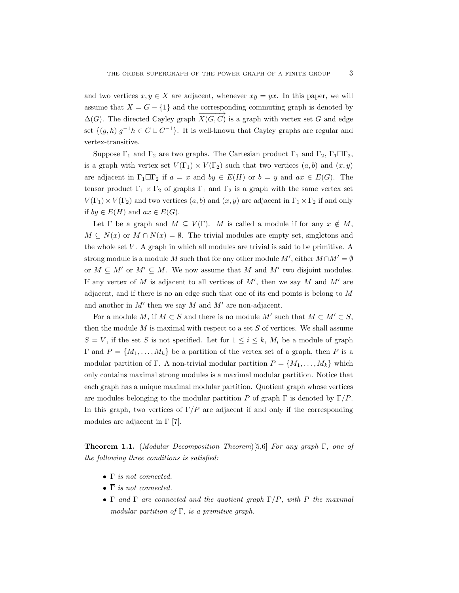and two vertices  $x, y \in X$  are adjacent, whenever  $xy = yx$ . In this paper, we will assume that  $X = G - \{1\}$  and the corresponding commuting graph is denoted by  $\Delta(G)$ . The directed Cayley graph  $\overrightarrow{X(G, C)}$  is a graph with vertex set G and edge set  $\{(g,h)|g^{-1}h \in C \cup C^{-1}\}$ . It is well-known that Cayley graphs are regular and vertex-transitive.

Suppose  $\Gamma_1$  and  $\Gamma_2$  are two graphs. The Cartesian product  $\Gamma_1$  and  $\Gamma_2$ ,  $\Gamma_1 \Box \Gamma_2$ , is a graph with vertex set  $V(\Gamma_1) \times V(\Gamma_2)$  such that two vertices  $(a, b)$  and  $(x, y)$ are adjacent in  $\Gamma_1 \Box \Gamma_2$  if  $a = x$  and  $by \in E(H)$  or  $b = y$  and  $ax \in E(G)$ . The tensor product  $\Gamma_1 \times \Gamma_2$  of graphs  $\Gamma_1$  and  $\Gamma_2$  is a graph with the same vertex set  $V(\Gamma_1) \times V(\Gamma_2)$  and two vertices  $(a, b)$  and  $(x, y)$  are adjacent in  $\Gamma_1 \times \Gamma_2$  if and only if  $by \in E(H)$  and  $ax \in E(G)$ .

Let  $\Gamma$  be a graph and  $M \subseteq V(\Gamma)$ . M is called a module if for any  $x \notin M$ ,  $M \subseteq N(x)$  or  $M \cap N(x) = \emptyset$ . The trivial modules are empty set, singletons and the whole set  $V$ . A graph in which all modules are trivial is said to be primitive. A strong module is a module M such that for any other module  $M'$ , either  $M \cap M' = \emptyset$ or  $M \subseteq M'$  or  $M' \subseteq M$ . We now assume that M and M' two disjoint modules. If any vertex of  $M$  is adjacent to all vertices of  $M'$ , then we say  $M$  and  $M'$  are adjacent, and if there is no an edge such that one of its end points is belong to M and another in  $M'$  then we say M and  $M'$  are non-adjacent.

For a module M, if  $M \subset S$  and there is no module M' such that  $M \subset M' \subset S$ , then the module  $M$  is maximal with respect to a set  $S$  of vertices. We shall assume  $S = V$ , if the set S is not specified. Let for  $1 \leq i \leq k$ ,  $M_i$  be a module of graph  $\Gamma$  and  $P = \{M_1, \ldots, M_k\}$  be a partition of the vertex set of a graph, then P is a modular partition of Γ. A non-trivial modular partition  $P = \{M_1, \ldots, M_k\}$  which only contains maximal strong modules is a maximal modular partition. Notice that each graph has a unique maximal modular partition. Quotient graph whose vertices are modules belonging to the modular partition P of graph  $\Gamma$  is denoted by  $\Gamma/P$ . In this graph, two vertices of  $\Gamma/P$  are adjacent if and only if the corresponding modules are adjacent in  $\Gamma$  [7].

**Theorem 1.1.** (Modular Decomposition Theorem)[5,6] For any graph  $\Gamma$ , one of the following three conditions is satisfied:

- Γ is not connected.
- $\overline{\Gamma}$  is not connected.
- Γ and  $\overline{\Gamma}$  are connected and the quotient graph  $\Gamma/P$ , with P the maximal modular partition of  $\Gamma$ , is a primitive graph.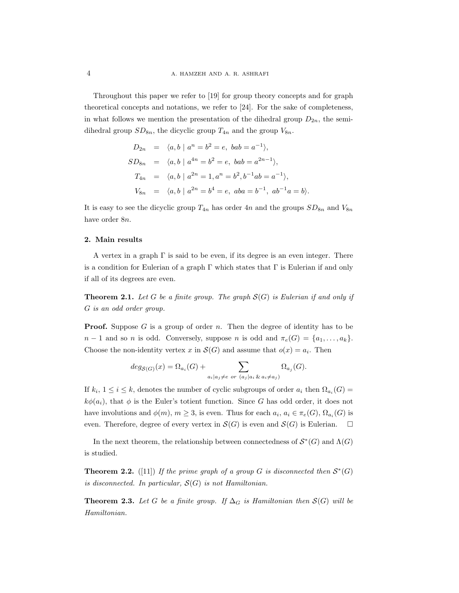Throughout this paper we refer to [19] for group theory concepts and for graph theoretical concepts and notations, we refer to [24]. For the sake of completeness, in what follows we mention the presentation of the dihedral group  $D_{2n}$ , the semidihedral group  $SD_{8n}$ , the dicyclic group  $T_{4n}$  and the group  $V_{8n}$ .

$$
D_{2n} = \langle a, b \mid a^n = b^2 = e, \ bab = a^{-1} \rangle,
$$
  
\n
$$
SD_{8n} = \langle a, b \mid a^{4n} = b^2 = e, \ bab = a^{2n-1} \rangle,
$$
  
\n
$$
T_{4n} = \langle a, b \mid a^{2n} = 1, a^n = b^2, b^{-1}ab = a^{-1} \rangle,
$$
  
\n
$$
V_{8n} = \langle a, b \mid a^{2n} = b^4 = e, \ aba = b^{-1}, \ ab^{-1}a = b \rangle.
$$

It is easy to see the dicyclic group  $T_{4n}$  has order 4n and the groups  $SD_{8n}$  and  $V_{8n}$ have order 8n.

# 2. Main results

A vertex in a graph  $\Gamma$  is said to be even, if its degree is an even integer. There is a condition for Eulerian of a graph  $\Gamma$  which states that  $\Gamma$  is Eulerian if and only if all of its degrees are even.

**Theorem 2.1.** Let G be a finite group. The graph  $S(G)$  is Eulerian if and only if G is an odd order group.

**Proof.** Suppose G is a group of order n. Then the degree of identity has to be  $n-1$  and so n is odd. Conversely, suppose n is odd and  $\pi_e(G) = \{a_1, \ldots, a_k\}.$ Choose the non-identity vertex x in  $\mathcal{S}(G)$  and assume that  $o(x) = a_i$ . Then

$$
deg_{S(G)}(x) = \Omega_{a_i}(G) + \sum_{a_i \mid a_j \neq e \ or \ (a_j \mid a_i \& a_i \neq a_j)} \Omega_{a_j}(G).
$$

If  $k_i$ ,  $1 \leq i \leq k$ , denotes the number of cyclic subgroups of order  $a_i$  then  $\Omega_{a_i}(G)$  $k\phi(a_i)$ , that  $\phi$  is the Euler's totient function. Since G has odd order, it does not have involutions and  $\phi(m)$ ,  $m \geq 3$ , is even. Thus for each  $a_i$ ,  $a_i \in \pi_e(G)$ ,  $\Omega_{a_i}(G)$  is even. Therefore, degree of every vertex in  $\mathcal{S}(G)$  is even and  $\mathcal{S}(G)$  is Eulerian.  $\square$ 

In the next theorem, the relationship between connectedness of  $S^*(G)$  and  $\Lambda(G)$ is studied.

**Theorem 2.2.** ([11]) If the prime graph of a group G is disconnected then  $\mathcal{S}^*(G)$ is disconnected. In particular,  $S(G)$  is not Hamiltonian.

**Theorem 2.3.** Let G be a finite group. If  $\Delta_G$  is Hamiltonian then  $\mathcal{S}(G)$  will be Hamiltonian.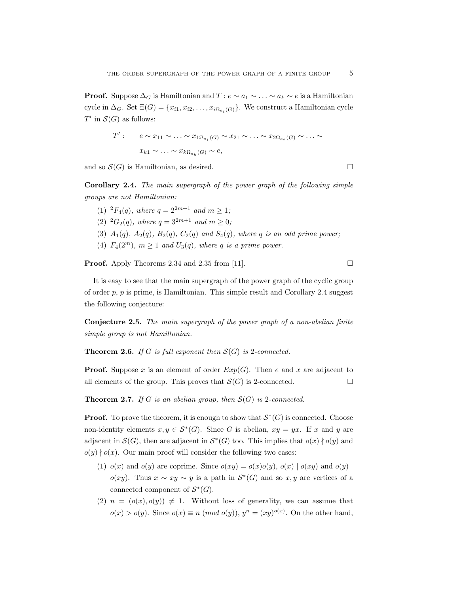**Proof.** Suppose  $\Delta_G$  is Hamiltonian and  $T: e \sim a_1 \sim \ldots \sim a_k \sim e$  is a Hamiltonian cycle in  $\Delta_G$ . Set  $\Xi(G) = \{x_{i1}, x_{i2}, \dots, x_{i\Omega_{a_i}(G)}\}$ . We construct a Hamiltonian cycle  $T'$  in  $\mathcal{S}(G)$  as follows:

$$
T': \quad e \sim x_{11} \sim \ldots \sim x_{1\Omega_{a_1}(G)} \sim x_{21} \sim \ldots \sim x_{2\Omega_{a_2}(G)} \sim \ldots \sim x_{k1} \sim \ldots \sim x_{k\Omega_{a_k}(G)} \sim e,
$$

and so  $\mathcal{S}(G)$  is Hamiltonian, as desired.

Corollary 2.4. The main supergraph of the power graph of the following simple groups are not Hamiltonian:

(1) <sup>2</sup> $F_4(q)$ , where  $q = 2^{2m+1}$  and  $m \ge 1$ ; (2) <sup>2</sup> $G_2(q)$ , where  $q = 3^{2m+1}$  and  $m \ge 0$ ; (3)  $A_1(q)$ ,  $A_2(q)$ ,  $B_2(q)$ ,  $C_2(q)$  and  $S_4(q)$ , where q is an odd prime power; (4)  $F_4(2^m)$ ,  $m \ge 1$  and  $U_3(q)$ , where q is a prime power.

**Proof.** Apply Theorems 2.34 and 2.35 from [11].  $\Box$ 

It is easy to see that the main supergraph of the power graph of the cyclic group of order  $p$ ,  $p$  is prime, is Hamiltonian. This simple result and Corollary 2.4 suggest the following conjecture:

Conjecture 2.5. The main supergraph of the power graph of a non-abelian finite simple group is not Hamiltonian.

**Theorem 2.6.** If G is full exponent then  $S(G)$  is 2-connected.

**Proof.** Suppose x is an element of order  $Exp(G)$ . Then e and x are adjacent to all elements of the group. This proves that  $\mathcal{S}(G)$  is 2-connected.

**Theorem 2.7.** If G is an abelian group, then  $S(G)$  is 2-connected.

**Proof.** To prove the theorem, it is enough to show that  $\mathcal{S}^*(G)$  is connected. Choose non-identity elements  $x, y \in \mathcal{S}^*(G)$ . Since G is abelian,  $xy = yx$ . If x and y are adjacent in  $\mathcal{S}(G)$ , then are adjacent in  $\mathcal{S}^*(G)$  too. This implies that  $o(x) \nmid o(y)$  and  $o(y) \nmid o(x)$ . Our main proof will consider the following two cases:

- (1)  $o(x)$  and  $o(y)$  are coprime. Since  $o(xy) = o(x)o(y)$ ,  $o(x) | o(xy)$  and  $o(y)$  $o(xy)$ . Thus  $x \sim xy \sim y$  is a path in  $S^*(G)$  and so x, y are vertices of a connected component of  $S^*(G)$ .
- (2)  $n = (o(x), o(y)) \neq 1$ . Without loss of generality, we can assume that  $o(x) > o(y)$ . Since  $o(x) \equiv n \pmod{o(y)}$ ,  $y^n = (xy)^{o(x)}$ . On the other hand,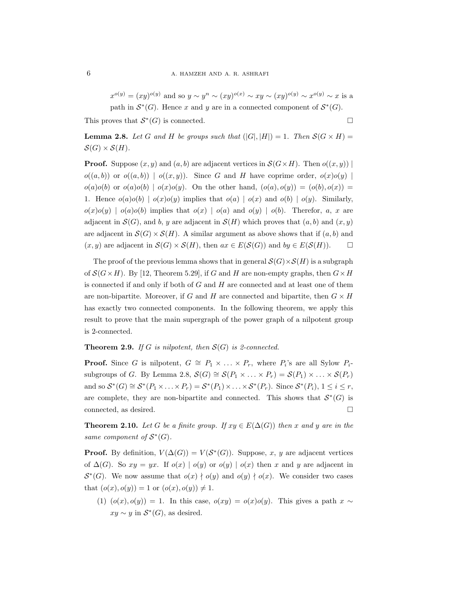$x^{o(y)} = (xy)^{o(y)}$  and so  $y \sim y^n \sim (xy)^{o(x)} \sim xy \sim (xy)^{o(y)} \sim x^{o(y)} \sim x$  is a path in  $S^*(G)$ . Hence x and y are in a connected component of  $S^*(G)$ .

This proves that  $S^*(G)$  is connected.

**Lemma 2.8.** Let G and H be groups such that  $(|G|, |H|) = 1$ . Then  $\mathcal{S}(G \times H) =$  $\mathcal{S}(G) \times \mathcal{S}(H)$ .

**Proof.** Suppose  $(x, y)$  and  $(a, b)$  are adjacent vertices in  $\mathcal{S}(G \times H)$ . Then  $o((x, y))$  $o((a, b))$  or  $o((a, b)) | o((x, y))$ . Since G and H have coprime order,  $o(x)o(y)$  $o(a)o(b)$  or  $o(a)o(b) | o(x)o(y)$ . On the other hand,  $(o(a), o(y)) = (o(b), o(x))$ 1. Hence  $o(a)o(b) | o(x)o(y)$  implies that  $o(a) | o(x)$  and  $o(b) | o(y)$ . Similarly,  $o(x)o(y) | o(a)o(b)$  implies that  $o(x) | o(a)$  and  $o(y) | o(b)$ . Therefor, a, x are adjacent in  $\mathcal{S}(G)$ , and b, y are adjacent in  $\mathcal{S}(H)$  which proves that  $(a, b)$  and  $(x, y)$ are adjacent in  $\mathcal{S}(G) \times \mathcal{S}(H)$ . A similar argument as above shows that if  $(a, b)$  and  $(x, y)$  are adjacent in  $\mathcal{S}(G) \times \mathcal{S}(H)$ , then  $ax \in E(\mathcal{S}(G))$  and  $by \in E(\mathcal{S}(H))$ .

The proof of the previous lemma shows that in general  $\mathcal{S}(G)\times \mathcal{S}(H)$  is a subgraph of  $S(G\times H)$ . By [12, Theorem 5.29], if G and H are non-empty graphs, then  $G\times H$ is connected if and only if both of  $G$  and  $H$  are connected and at least one of them are non-bipartite. Moreover, if G and H are connected and bipartite, then  $G \times H$ has exactly two connected components. In the following theorem, we apply this result to prove that the main supergraph of the power graph of a nilpotent group is 2-connected.

**Theorem 2.9.** If G is nilpotent, then  $S(G)$  is 2-connected.

**Proof.** Since G is nilpotent,  $G \cong P_1 \times \ldots \times P_r$ , where  $P_i$ 's are all Sylow  $P_i$ subgroups of G. By Lemma 2.8,  $\mathcal{S}(G) \cong \mathcal{S}(P_1 \times \ldots \times P_r) = \mathcal{S}(P_1) \times \ldots \times \mathcal{S}(P_r)$ and so  $S^*(G) \cong S^*(P_1 \times \ldots \times P_r) = S^*(P_1) \times \ldots \times S^*(P_r)$ . Since  $S^*(P_i)$ ,  $1 \leq i \leq r$ , are complete, they are non-bipartite and connected. This shows that  $S^*(G)$  is connected, as desired.  $\hfill \square$ 

**Theorem 2.10.** Let G be a finite group. If  $xy \in E(\Delta(G))$  then x and y are in the same component of  $S^*(G)$ .

**Proof.** By definition,  $V(\Delta(G)) = V(\mathcal{S}^*(G))$ . Suppose, x, y are adjacent vertices of  $\Delta(G)$ . So  $xy = yx$ . If  $o(x) | o(y)$  or  $o(y) | o(x)$  then x and y are adjacent in  $\mathcal{S}^*(G)$ . We now assume that  $o(x) \nmid o(y)$  and  $o(y) \nmid o(x)$ . We consider two cases that  $(o(x), o(y)) = 1$  or  $(o(x), o(y)) \neq 1$ .

(1)  $(o(x), o(y)) = 1$ . In this case,  $o(xy) = o(x)o(y)$ . This gives a path  $x \sim$  $xy \sim y$  in  $S^*(G)$ , as desired.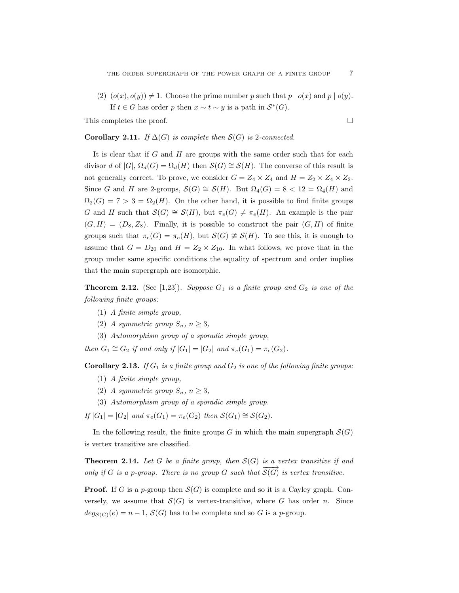(2)  $(o(x), o(y)) \neq 1$ . Choose the prime number p such that  $p | o(x)$  and  $p | o(y)$ . If  $t \in G$  has order p then  $x \sim t \sim y$  is a path in  $S^*(G)$ .

This completes the proof.  $\Box$ 

**Corollary 2.11.** If  $\Delta(G)$  is complete then  $S(G)$  is 2-connected.

It is clear that if  $G$  and  $H$  are groups with the same order such that for each divisor d of  $|G|$ ,  $\Omega_d(G) = \Omega_d(H)$  then  $\mathcal{S}(G) \cong \mathcal{S}(H)$ . The converse of this result is not generally correct. To prove, we consider  $G = Z_4 \times Z_4$  and  $H = Z_2 \times Z_4 \times Z_2$ . Since G and H are 2-groups,  $S(G) \cong S(H)$ . But  $\Omega_4(G) = 8 < 12 = \Omega_4(H)$  and  $\Omega_2(G) = 7 > 3 = \Omega_2(H)$ . On the other hand, it is possible to find finite groups G and H such that  $\mathcal{S}(G) \cong \mathcal{S}(H)$ , but  $\pi_e(G) \neq \pi_e(H)$ . An example is the pair  $(G, H) = (D_8, Z_8)$ . Finally, it is possible to construct the pair  $(G, H)$  of finite groups such that  $\pi_e(G) = \pi_e(H)$ , but  $\mathcal{S}(G) \not\cong \mathcal{S}(H)$ . To see this, it is enough to assume that  $G = D_{20}$  and  $H = Z_2 \times Z_{10}$ . In what follows, we prove that in the group under same specific conditions the equality of spectrum and order implies that the main supergraph are isomorphic.

**Theorem 2.12.** (See [1,23]). Suppose  $G_1$  is a finite group and  $G_2$  is one of the following finite groups:

- (1) A finite simple group,
- (2) A symmetric group  $S_n$ ,  $n \geq 3$ ,
- (3) Automorphism group of a sporadic simple group,

then  $G_1 \cong G_2$  if and only if  $|G_1| = |G_2|$  and  $\pi_e(G_1) = \pi_e(G_2)$ .

Corollary 2.13. If  $G_1$  is a finite group and  $G_2$  is one of the following finite groups:

- (1) A finite simple group,
- (2) A symmetric group  $S_n$ ,  $n \geq 3$ ,
- (3) Automorphism group of a sporadic simple group.

If  $|G_1| = |G_2|$  and  $\pi_e(G_1) = \pi_e(G_2)$  then  $\mathcal{S}(G_1) \cong \mathcal{S}(G_2)$ .

In the following result, the finite groups G in which the main supergraph  $\mathcal{S}(G)$ is vertex transitive are classified.

**Theorem 2.14.** Let G be a finite group, then  $S(G)$  is a vertex transitive if and only if G is a p-group. There is no group G such that  $\overrightarrow{S(G)}$  is vertex transitive.

**Proof.** If G is a p-group then  $S(G)$  is complete and so it is a Cayley graph. Conversely, we assume that  $\mathcal{S}(G)$  is vertex-transitive, where G has order n. Since  $deg_{S(G)}(e) = n - 1$ ,  $S(G)$  has to be complete and so G is a p-group.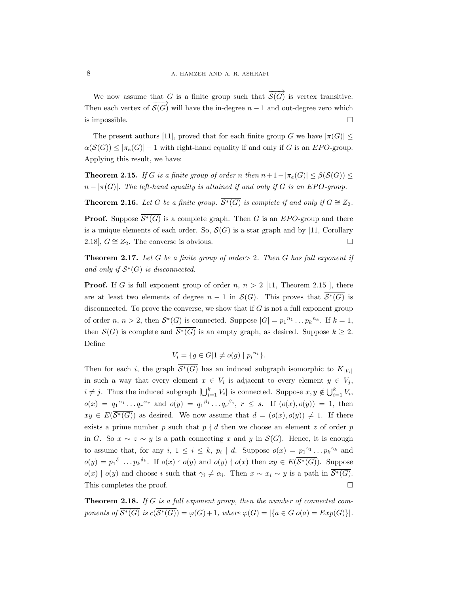We now assume that G is a finite group such that  $\overrightarrow{S(G)}$  is vertex transitive. Then each vertex of  $\overrightarrow{S(G)}$  will have the in-degree  $n-1$  and out-degree zero which is impossible.  $\Box$ 

The present authors [11], proved that for each finite group G we have  $|\pi(G)| \le$  $\alpha(\mathcal{S}(G)) \leq |\pi_e(G)| - 1$  with right-hand equality if and only if G is an EPO-group. Applying this result, we have:

**Theorem 2.15.** If G is a finite group of order n then  $n+1-|\pi_e(G)| \leq \beta(\mathcal{S}(G)) \leq$  $n - |\pi(G)|$ . The left-hand equality is attained if and only if G is an EPO-group.

**Theorem 2.16.** Let G be a finite group.  $\overline{S^*(G)}$  is complete if and only if  $G \cong Z_2$ .

**Proof.** Suppose  $S^*(G)$  is a complete graph. Then G is an EPO-group and there is a unique elements of each order. So,  $\mathcal{S}(G)$  is a star graph and by [11, Corollary 2.18],  $G \cong Z_2$ . The converse is obvious.

**Theorem 2.17.** Let G be a finite group of order  $> 2$ . Then G has full exponent if and only if  $\overline{\mathcal{S}^*(G)}$  is disconnected.

**Proof.** If G is full exponent group of order  $n, n > 2$  [11, Theorem 2.15 ], there are at least two elements of degree  $n-1$  in  $\mathcal{S}(G)$ . This proves that  $\overline{\mathcal{S}^*(G)}$  is disconnected. To prove the converse, we show that if  $G$  is not a full exponent group of order  $n, n > 2$ , then  $\overline{\mathcal{S}^*(G)}$  is connected. Suppose  $|G| = p_1^{n_1} \dots p_k^{n_k}$ . If  $k = 1$ , then  $\mathcal{S}(G)$  is complete and  $\overline{\mathcal{S}^*(G)}$  is an empty graph, as desired. Suppose  $k \geq 2$ . Define

$$
V_i = \{ g \in G | 1 \neq o(g) | p_i^{n_i} \}.
$$

Then for each i, the graph  $\overline{\mathcal{S}^*(G)}$  has an induced subgraph isomorphic to  $\overline{K_{|V_i|}}$ in such a way that every element  $x \in V_i$  is adjacent to every element  $y \in V_j$ ,  $i \neq j$ . Thus the induced subgraph  $\left[\bigcup_{i=1}^k V_i\right]$  is connected. Suppose  $x, y \notin \bigcup_{i=1}^k V_i$ ,  $o(x) = q_1^{\alpha_1} \dots q_r^{\alpha_r}$  and  $o(y) = q_1^{\beta_1} \dots q_s^{\beta_s}$ ,  $r \leq s$ . If  $(o(x), o(y)) = 1$ , then  $xy \in E(\overline{\mathcal{S}^*(G)})$  as desired. We now assume that  $d = (o(x), o(y)) \neq 1$ . If there exists a prime number p such that  $p \nmid d$  then we choose an element z of order p in G. So  $x \sim z \sim y$  is a path connecting x and y in  $\mathcal{S}(G)$ . Hence, it is enough to assume that, for any  $i, 1 \leq i \leq k, p_i | d$ . Suppose  $o(x) = p_1^{\gamma_1} \dots p_k^{\gamma_k}$  and  $o(y) = p_1^{\delta_1} \dots p_k^{\delta_k}$ . If  $o(x) \nmid o(y)$  and  $o(y) \nmid o(x)$  then  $xy \in E(\overline{\mathcal{S}^*(G)})$ . Suppose  $o(x) | o(y)$  and choose i such that  $\gamma_i \neq \alpha_i$ . Then  $x \sim x_i \sim y$  is a path in  $S^*(G)$ . This completes the proof.  $\square$ 

Theorem 2.18. If G is a full exponent group, then the number of connected components of  $\overline{\mathcal{S}^*(G)}$  is  $c(\overline{\mathcal{S}^*(G)}) = \varphi(G) + 1$ , where  $\varphi(G) = |\{a \in G | o(a) = Exp(G)\}|$ .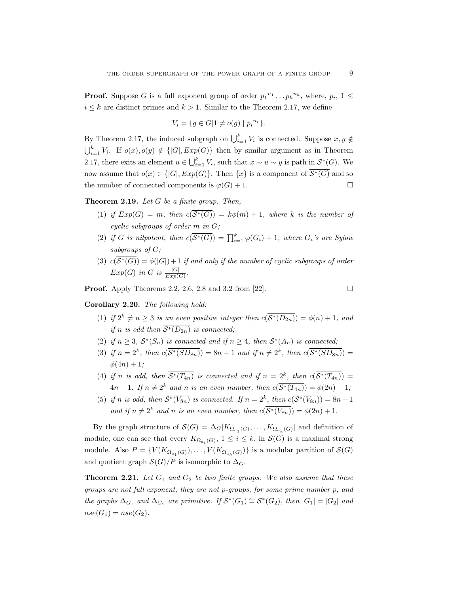**Proof.** Suppose G is a full exponent group of order  $p_1^{n_1} \dots p_k^{n_k}$ , where,  $p_i$ ,  $1 \leq$  $i \leq k$  are distinct primes and  $k > 1$ . Similar to the Theorem 2.17, we define

$$
V_i = \{ g \in G | 1 \neq o(g) | p_i^{n_i} \}.
$$

By Theorem 2.17, the induced subgraph on  $\bigcup_{i=1}^{k} V_i$  is connected. Suppose  $x, y \notin$  $\bigcup_{i=1}^k V_i$ . If  $o(x), o(y) \notin \{ |G|, Exp(G) \}$  then by similar argument as in Theorem 2.17, there exits an element  $u \in \bigcup_{i=1}^{k} V_i$ , such that  $x \sim u \sim y$  is path in  $\overline{\mathcal{S}^*(G)}$ . We now assume that  $o(x) \in \{ |G|, Exp(G) \}.$  Then  $\{x\}$  is a component of  $\overline{\mathcal{S}^*(G)}$  and so the number of connected components is  $\varphi(G) + 1$ .

**Theorem 2.19.** Let  $G$  be a finite group. Then,

- (1) if  $Exp(G) = m$ , then  $c(\overline{S^*(G)}) = k\phi(m) + 1$ , where k is the number of cyclic subgroups of order m in G;
- (2) if G is nilpotent, then  $c(\overline{S^*(G)}) = \prod_{i=1}^k \varphi(G_i) + 1$ , where  $G_i$ 's are Sylow subgroups of G;
- (3)  $c(\overline{S^*(G)}) = \phi(|G|) + 1$  if and only if the number of cyclic subgroups of order  $Exp(G)$  in G is  $\frac{|G|}{Exp(G)}$ .

**Proof.** Apply Theorems 2.2, 2.6, 2.8 and 3.2 from [22].  $\Box$ 

Corollary 2.20. The following hold:

- (1) if  $2^k \neq n \geq 3$  is an even positive integer then  $c(\overline{\mathcal{S}^*(D_{2n})}) = \phi(n) + 1$ , and if n is odd then  $\overline{\mathcal{S}^*(D_{2n})}$  is connected;
- (2) if  $n \geq 3$ ,  $\overline{\mathcal{S}^*(S_n)}$  is connected and if  $n \geq 4$ , then  $\overline{\mathcal{S}^*(A_n)}$  is connected;
- (3) if  $n = 2^k$ , then  $c(\overline{\mathcal{S}^*(SD_{8n})}) = 8n 1$  and if  $n \neq 2^k$ , then  $c(\overline{\mathcal{S}^*(SD_{8n})}) =$  $\phi(4n) + 1;$
- (4) if n is odd, then  $\overline{\mathcal{S}^*(T_{4n})}$  is connected and if  $n = 2^k$ , then  $c(\overline{\mathcal{S}^*(T_{4n})}) =$  $4n-1$ . If  $n \neq 2^k$  and n is an even number, then  $c(\overline{\mathcal{S}^*(T_{4n})}) = \phi(2n) + 1$ ;
- (5) if n is odd, then  $\overline{\mathcal{S}^*(V_{8n})}$  is connected. If  $n=2^k$ , then  $c(\overline{\mathcal{S}^*(V_{8n})})=8n-1$ and if  $n \neq 2^k$  and n is an even number, then  $c(\overline{\mathcal{S}^*(V_{8n})}) = \phi(2n) + 1$ .

By the graph structure of  $\mathcal{S}(G) = \Delta_G[K_{\Omega_{a_1}(G)}, \ldots, K_{\Omega_{a_k}(G)}]$  and definition of module, one can see that every  $K_{\Omega_{a_i}(G)}, 1 \leq i \leq k$ , in  $\mathcal{S}(G)$  is a maximal strong module. Also  $P = \{V(K_{\Omega_{a_1}(G)})$ , ...,  $V(K_{\Omega_{a_k}(G)})\}$  is a modular partition of  $\mathcal{S}(G)$ and quotient graph  $S(G)/P$  is isomorphic to  $\Delta_G$ .

**Theorem 2.21.** Let  $G_1$  and  $G_2$  be two finite groups. We also assume that these groups are not full exponent, they are not p-groups, for some prime number p, and the graphs  $\Delta_{G_1}$  and  $\Delta_{G_2}$  are primitive. If  $S^*(G_1) \cong S^*(G_2)$ , then  $|G_1| = |G_2|$  and  $nse(G_1) = nse(G_2).$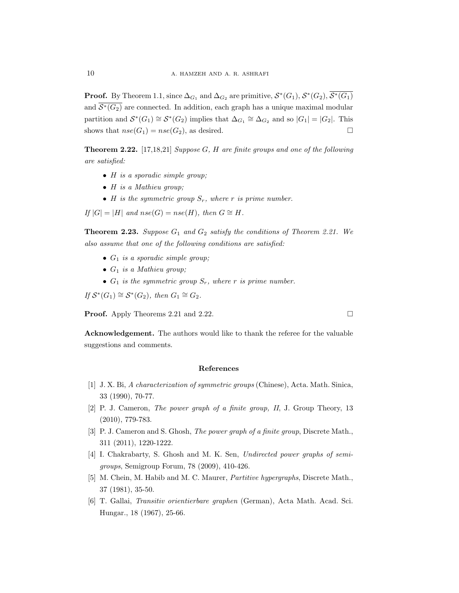**Proof.** By Theorem 1.1, since  $\Delta_{G_1}$  and  $\Delta_{G_2}$  are primitive,  $S^*(G_1)$ ,  $S^*(G_2)$ ,  $\overline{S^*(G_1)}$ and  $\overline{\mathcal{S}^*(G_2)}$  are connected. In addition, each graph has a unique maximal modular partition and  $S^*(G_1) \cong S^*(G_2)$  implies that  $\Delta_{G_1} \cong \Delta_{G_2}$  and so  $|G_1| = |G_2|$ . This shows that  $nse(G_1) = nse(G_2)$ , as desired.

**Theorem 2.22.** [17,18,21] Suppose G, H are finite groups and one of the following are satisfied:

- H is a sporadic simple group;
- H is a Mathieu group;
- H is the symmetric group  $S_r$ , where r is prime number.

If  $|G| = |H|$  and  $nse(G) = nse(H)$ , then  $G \cong H$ .

**Theorem 2.23.** Suppose  $G_1$  and  $G_2$  satisfy the conditions of Theorem 2.21. We also assume that one of the following conditions are satisfied:

- $G_1$  is a sporadic simple group;
- $G_1$  is a Mathieu group;
- $G_1$  is the symmetric group  $S_r$ , where r is prime number.

If  $S^*(G_1) \cong S^*(G_2)$ , then  $G_1 \cong G_2$ .

**Proof.** Apply Theorems 2.21 and 2.22. □

Acknowledgement. The authors would like to thank the referee for the valuable suggestions and comments.

#### References

- [1] J. X. Bi, A characterization of symmetric groups (Chinese), Acta. Math. Sinica, 33 (1990), 70-77.
- [2] P. J. Cameron, The power graph of a finite group, II, J. Group Theory, 13 (2010), 779-783.
- [3] P. J. Cameron and S. Ghosh, The power graph of a finite group, Discrete Math., 311 (2011), 1220-1222.
- [4] I. Chakrabarty, S. Ghosh and M. K. Sen, Undirected power graphs of semigroups, Semigroup Forum, 78 (2009), 410-426.
- [5] M. Chein, M. Habib and M. C. Maurer, Partitive hypergraphs, Discrete Math., 37 (1981), 35-50.
- [6] T. Gallai, Transitiv orientierbare graphen (German), Acta Math. Acad. Sci. Hungar., 18 (1967), 25-66.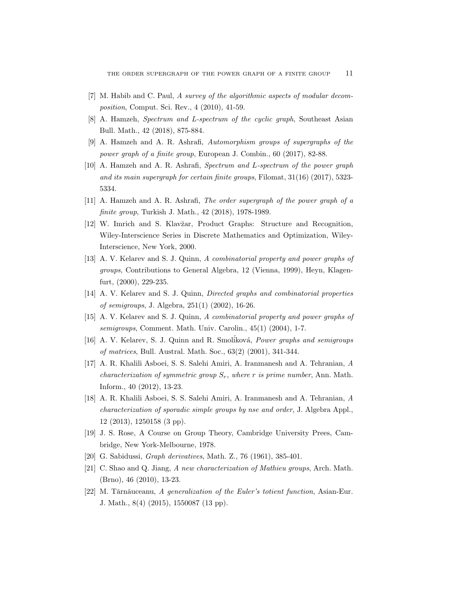- [7] M. Habib and C. Paul, A survey of the algorithmic aspects of modular decomposition, Comput. Sci. Rev., 4 (2010), 41-59.
- [8] A. Hamzeh, Spectrum and L-spectrum of the cyclic graph, Southeast Asian Bull. Math., 42 (2018), 875-884.
- [9] A. Hamzeh and A. R. Ashrafi, Automorphism groups of supergraphs of the power graph of a finite group, European J. Combin., 60 (2017), 82-88.
- [10] A. Hamzeh and A. R. Ashrafi, Spectrum and L-spectrum of the power graph and its main supergraph for certain finite groups, Filomat, 31(16) (2017), 5323- 5334.
- [11] A. Hamzeh and A. R. Ashrafi, The order supergraph of the power graph of a finite group, Turkish J. Math., 42 (2018), 1978-1989.
- [12] W. Imrich and S. Klav˘zar, Product Graphs: Structure and Recognition, Wiley-Interscience Series in Discrete Mathematics and Optimization, Wiley-Interscience, New York, 2000.
- [13] A. V. Kelarev and S. J. Quinn, A combinatorial property and power graphs of groups, Contributions to General Algebra, 12 (Vienna, 1999), Heyn, Klagenfurt, (2000), 229-235.
- [14] A. V. Kelarev and S. J. Quinn, Directed graphs and combinatorial properties of semigroups, J. Algebra, 251(1) (2002), 16-26.
- [15] A. V. Kelarev and S. J. Quinn, A combinatorial property and power graphs of semigroups, Comment. Math. Univ. Carolin., 45(1) (2004), 1-7.
- [16] A. V. Kelarev, S. J. Quinn and R. Smoliková, Power graphs and semigroups of matrices, Bull. Austral. Math. Soc., 63(2) (2001), 341-344.
- [17] A. R. Khalili Asboei, S. S. Salehi Amiri, A. Iranmanesh and A. Tehranian, A characterization of symmetric group  $S_r$ , where r is prime number, Ann. Math. Inform., 40 (2012), 13-23.
- [18] A. R. Khalili Asboei, S. S. Salehi Amiri, A. Iranmanesh and A. Tehranian, A characterization of sporadic simple groups by nse and order, J. Algebra Appl., 12 (2013), 1250158 (3 pp).
- [19] J. S. Rose, A Course on Group Theory, Cambridge University Prees, Cambridge, New York-Melbourne, 1978.
- [20] G. Sabidussi, Graph derivatives, Math. Z., 76 (1961), 385-401.
- [21] C. Shao and Q. Jiang, A new characterization of Mathieu groups, Arch. Math. (Brno), 46 (2010), 13-23.
- [22] M. Tărnăuceanu, A generalization of the Euler's totient function, Asian-Eur. J. Math., 8(4) (2015), 1550087 (13 pp).